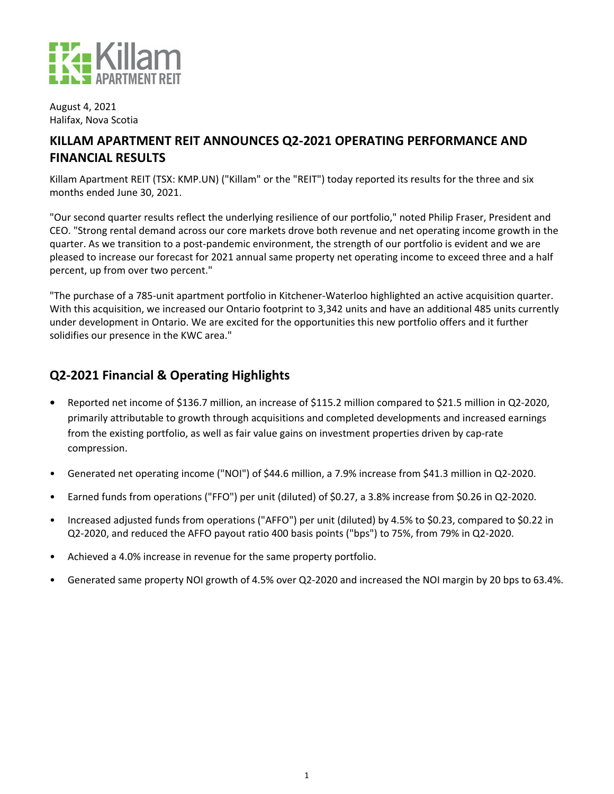

August 4, 2021 Halifax, Nova Scotia

## KILLAM APARTMENT REIT ANNOUNCES Q2-2021 OPERATING PERFORMANCE AND **FINANCIAL RESULTS**

Killam Apartment REIT (TSX: KMP.UN) ("Killam" or the "REIT") today reported its results for the three and six months ended June 30, 2021.

"Our second quarter results reflect the underlying resilience of our portfolio," noted Philip Fraser, President and CEO. "Strong rental demand across our core markets drove both revenue and net operating income growth in the quarter. As we transition to a post-pandemic environment, the strength of our portfolio is evident and we are pleased to increase our forecast for 2021 annual same property net operating income to exceed three and a half percent, up from over two percent."

"The purchase of a 785-unit apartment portfolio in Kitchener-Waterloo highlighted an active acquisition quarter. With this acquisition, we increased our Ontario footprint to 3,342 units and have an additional 485 units currently under development in Ontario. We are excited for the opportunities this new portfolio offers and it further solidifies our presence in the KWC area."

## **Q2-2021 Financial & Operating Highlights**

- **Reported net income of \$136.7 million, an increase of \$115.2 million compared to \$21.5 million in Q2-2020,** primarily attributable to growth through acquisitions and completed developments and increased earnings from the existing portfolio, as well as fair value gains on investment properties driven by cap-rate compression.
- Generated net operating income ("NOI") of \$44.6 million, a 7.9% increase from \$41.3 million in Q2-2020.
- Earned funds from operations ("FFO") per unit (diluted) of \$0.27, a 3.8% increase from \$0.26 in Q2-2020.
- Increased adjusted funds from operations ("AFFO") per unit (diluted) by 4.5% to \$0.23, compared to \$0.22 in Q2-2020, and reduced the AFFO payout ratio 400 basis points ("bps") to 75%, from 79% in Q2-2020.
- Achieved a 4.0% increase in revenue for the same property portfolio.
- Generated same property NOI growth of 4.5% over Q2-2020 and increased the NOI margin by 20 bps to 63.4%.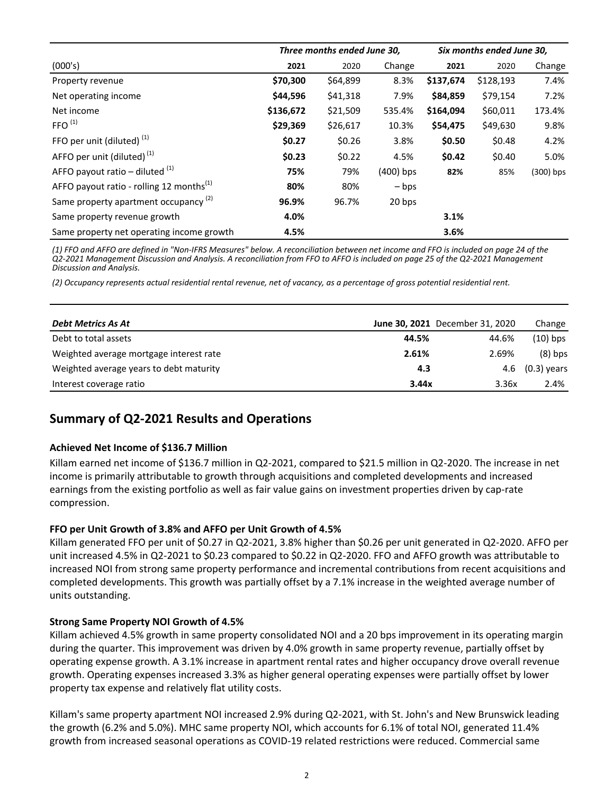|                                                      | Three months ended June 30, |          |                 | Six months ended June 30, |           |             |
|------------------------------------------------------|-----------------------------|----------|-----------------|---------------------------|-----------|-------------|
| (000's)                                              | 2021                        | 2020     | Change          | 2021                      | 2020      | Change      |
| Property revenue                                     | \$70,300                    | \$64,899 | 8.3%            | \$137,674                 | \$128,193 | 7.4%        |
| Net operating income                                 | \$44,596                    | \$41,318 | 7.9%            | \$84,859                  | \$79,154  | 7.2%        |
| Net income                                           | \$136,672                   | \$21,509 | 535.4%          | \$164,094                 | \$60,011  | 173.4%      |
| FFO <sup>(1)</sup>                                   | \$29,369                    | \$26,617 | 10.3%           | \$54,475                  | \$49,630  | 9.8%        |
| FFO per unit (diluted) <sup>(1)</sup>                | \$0.27                      | \$0.26   | 3.8%            | \$0.50                    | \$0.48    | 4.2%        |
| AFFO per unit (diluted) $(1)$                        | \$0.23                      | \$0.22   | 4.5%            | \$0.42                    | \$0.40    | 5.0%        |
| AFFO payout ratio – diluted $(1)$                    | 75%                         | 79%      | $(400)$ bps     | 82%                       | 85%       | $(300)$ bps |
| AFFO payout ratio - rolling 12 months <sup>(1)</sup> | 80%                         | 80%      | $-\mathsf{bps}$ |                           |           |             |
| Same property apartment occupancy <sup>(2)</sup>     | 96.9%                       | 96.7%    | 20 bps          |                           |           |             |
| Same property revenue growth                         | 4.0%                        |          |                 | 3.1%                      |           |             |
| Same property net operating income growth            | 4.5%                        |          |                 | 3.6%                      |           |             |

(1) FFO and AFFO are defined in "Non-IFRS Measures" below. A reconciliation between net income and FFO is included on page 24 of the *Q2-2021 Management Discussion and Analysis. A reconciliation from FFO to AFFO is included on page 25 of the Q2-2021 Management Discussion and Analysis.*

*(2) Occupancy represents actual residential rental revenue, net of vacancy, as a percentage of gross potential residential rent.*

| Debt Metrics As At                      |       | June 30, 2021 December 31, 2020 | Change        |
|-----------------------------------------|-------|---------------------------------|---------------|
| Debt to total assets                    | 44.5% | 44.6%                           | (10) bps      |
| Weighted average mortgage interest rate | 2.61% | 2.69%                           | $(8)$ bps     |
| Weighted average years to debt maturity | 4.3   | 4.6                             | $(0.3)$ years |
| Interest coverage ratio                 | 3.44x | 3.36x                           | 2.4%          |

## **Summary of Q2-2021 Results and Operations**

### **Achieved Net Income of \$136.7 Million**

Killam earned net income of \$136.7 million in Q2-2021, compared to \$21.5 million in Q2-2020. The increase in net income is primarily attributable to growth through acquisitions and completed developments and increased earnings from the existing portfolio as well as fair value gains on investment properties driven by cap-rate compression.

### FFO per Unit Growth of 3.8% and AFFO per Unit Growth of 4.5%

Killam generated FFO per unit of \$0.27 in Q2-2021, 3.8% higher than \$0.26 per unit generated in Q2-2020. AFFO per unit increased 4.5% in Q2-2021 to \$0.23 compared to \$0.22 in Q2-2020. FFO and AFFO growth was attributable to increased NOI from strong same property performance and incremental contributions from recent acquisitions and completed developments. This growth was partially offset by a 7.1% increase in the weighted average number of units outstanding.

### **Strong Same Property NOI Growth of 4.5%**

Killam achieved 4.5% growth in same property consolidated NOI and a 20 bps improvement in its operating margin during the quarter. This improvement was driven by 4.0% growth in same property revenue, partially offset by operating expense growth. A 3.1% increase in apartment rental rates and higher occupancy drove overall revenue growth. Operating expenses increased 3.3% as higher general operating expenses were partially offset by lower property tax expense and relatively flat utility costs.

Killam's same property apartment NOI increased 2.9% during Q2-2021, with St. John's and New Brunswick leading the growth (6.2% and 5.0%). MHC same property NOI, which accounts for 6.1% of total NOI, generated 11.4% growth from increased seasonal operations as COVID-19 related restrictions were reduced. Commercial same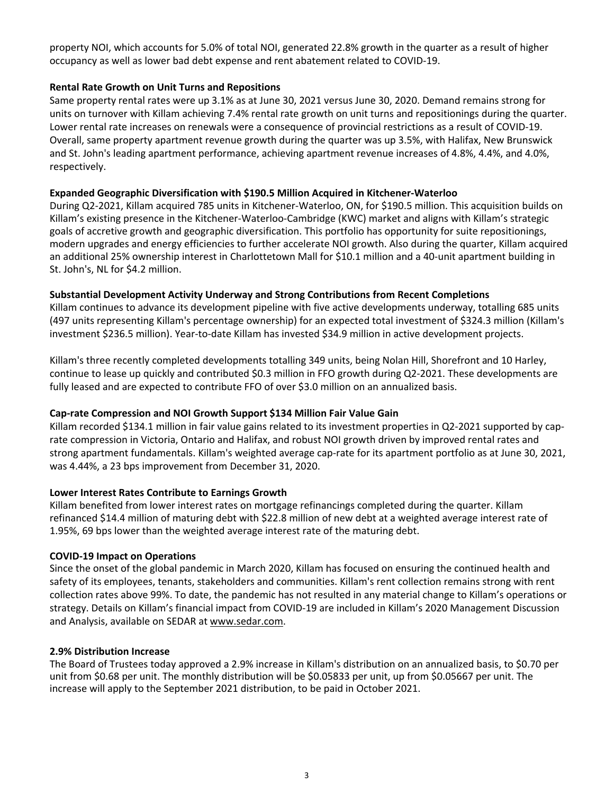property NOI, which accounts for 5.0% of total NOI, generated 22.8% growth in the quarter as a result of higher occupancy as well as lower bad debt expense and rent abatement related to COVID-19.

## **Rental Rate Growth on Unit Turns and Repositions**

Same property rental rates were up 3.1% as at June 30, 2021 versus June 30, 2020. Demand remains strong for units on turnover with Killam achieving 7.4% rental rate growth on unit turns and repositionings during the quarter. Lower rental rate increases on renewals were a consequence of provincial restrictions as a result of COVID-19. Overall, same property apartment revenue growth during the quarter was up 3.5%, with Halifax, New Brunswick and St. John's leading apartment performance, achieving apartment revenue increases of 4.8%, 4.4%, and 4.0%, respectively.

### **Expanded Geographic Diversification with \$190.5 Million Acquired in Kitchener-Waterloo**

During Q2-2021, Killam acquired 785 units in Kitchener-Waterloo, ON, for \$190.5 million. This acquisition builds on Killam's existing presence in the Kitchener-Waterloo-Cambridge (KWC) market and aligns with Killam's strategic goals of accretive growth and geographic diversification. This portfolio has opportunity for suite repositionings, modern upgrades and energy efficiencies to further accelerate NOI growth. Also during the quarter, Killam acquired an additional 25% ownership interest in Charlottetown Mall for \$10.1 million and a 40-unit apartment building in St. John's, NL for \$4.2 million.

## Substantial Development Activity Underway and Strong Contributions from Recent Completions

Killam continues to advance its development pipeline with five active developments underway, totalling 685 units (497 units representing Killam's percentage ownership) for an expected total investment of \$324.3 million (Killam's investment \$236.5 million). Year-to-date Killam has invested \$34.9 million in active development projects.

Killam's three recently completed developments totalling 349 units, being Nolan Hill, Shorefront and 10 Harley, continue to lease up quickly and contributed \$0.3 million in FFO growth during Q2-2021. These developments are fully leased and are expected to contribute FFO of over \$3.0 million on an annualized basis.

## Cap-rate Compression and NOI Growth Support \$134 Million Fair Value Gain

Killam recorded \$134.1 million in fair value gains related to its investment properties in Q2-2021 supported by caprate compression in Victoria, Ontario and Halifax, and robust NOI growth driven by improved rental rates and strong apartment fundamentals. Killam's weighted average cap-rate for its apartment portfolio as at June 30, 2021, was 4.44%, a 23 bps improvement from December 31, 2020.

### Lower Interest Rates Contribute to Earnings Growth

Killam benefited from lower interest rates on mortgage refinancings completed during the quarter. Killam refinanced \$14.4 million of maturing debt with \$22.8 million of new debt at a weighted average interest rate of 1.95%, 69 bps lower than the weighted average interest rate of the maturing debt.

### **COVID-19 Impact on Operations**

Since the onset of the global pandemic in March 2020, Killam has focused on ensuring the continued health and safety of its employees, tenants, stakeholders and communities. Killam's rent collection remains strong with rent collection rates above 99%. To date, the pandemic has not resulted in any material change to Killam's operations or strategy. Details on Killam's financial impact from COVID-19 are included in Killam's 2020 Management Discussion and Analysis, available on SEDAR at www.sedar.com.

### **2.9% Distribution Increase**

The Board of Trustees today approved a 2.9% increase in Killam's distribution on an annualized basis, to \$0.70 per unit from \$0.68 per unit. The monthly distribution will be \$0.05833 per unit, up from \$0.05667 per unit. The increase will apply to the September 2021 distribution, to be paid in October 2021.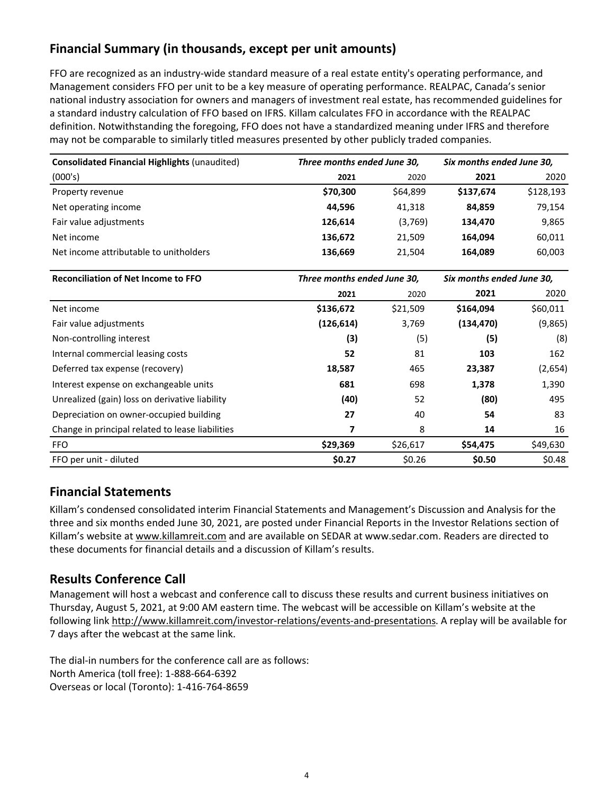# **Financial Summary (in thousands, except per unit amounts)**

FFO are recognized as an industry-wide standard measure of a real estate entity's operating performance, and Management considers FFO per unit to be a key measure of operating performance. REALPAC, Canada's senior national industry association for owners and managers of investment real estate, has recommended guidelines for a standard industry calculation of FFO based on IFRS. Killam calculates FFO in accordance with the REALPAC definition. Notwithstanding the foregoing, FFO does not have a standardized meaning under IFRS and therefore may not be comparable to similarly titled measures presented by other publicly traded companies.

| <b>Consolidated Financial Highlights (unaudited)</b> |          | Three months ended June 30, |           | Six months ended June 30, |  |  |
|------------------------------------------------------|----------|-----------------------------|-----------|---------------------------|--|--|
| (000's)                                              | 2021     | 2020                        | 2021      | 2020                      |  |  |
| Property revenue                                     | \$70,300 | \$64,899                    | \$137.674 | \$128,193                 |  |  |
| Net operating income                                 | 44,596   | 41.318                      | 84,859    | 79,154                    |  |  |
| Fair value adjustments                               | 126.614  | (3,769)                     | 134,470   | 9,865                     |  |  |
| Net income                                           | 136.672  | 21.509                      | 164.094   | 60,011                    |  |  |
| Net income attributable to unitholders               | 136,669  | 21,504                      | 164,089   | 60,003                    |  |  |

| <b>Reconciliation of Net Income to FFO</b>       | Three months ended June 30, |          | Six months ended June 30, |          |  |
|--------------------------------------------------|-----------------------------|----------|---------------------------|----------|--|
|                                                  | 2021                        | 2020     | 2021                      | 2020     |  |
| Net income                                       | \$136,672                   | \$21,509 | \$164,094                 | \$60,011 |  |
| Fair value adjustments                           | (126, 614)                  | 3,769    | (134, 470)                | (9,865)  |  |
| Non-controlling interest                         | (3)                         | (5)      | (5)                       | (8)      |  |
| Internal commercial leasing costs                | 52                          | 81       | 103                       | 162      |  |
| Deferred tax expense (recovery)                  | 18,587                      | 465      | 23,387                    | (2,654)  |  |
| Interest expense on exchangeable units           | 681                         | 698      | 1,378                     | 1,390    |  |
| Unrealized (gain) loss on derivative liability   | (40)                        | 52       | (80)                      | 495      |  |
| Depreciation on owner-occupied building          | 27                          | 40       | 54                        | 83       |  |
| Change in principal related to lease liabilities |                             | 8        | 14                        | 16       |  |
| <b>FFO</b>                                       | \$29,369                    | \$26,617 | \$54,475                  | \$49,630 |  |
| FFO per unit - diluted                           | \$0.27                      | \$0.26   | \$0.50                    | \$0.48   |  |

## **Financial Statements**

Killam's condensed consolidated interim Financial Statements and Management's Discussion and Analysis for the three and six months ended June 30, 2021, are posted under Financial Reports in the Investor Relations section of Killam's website at www.killamreit.com and are available on SEDAR at www.sedar.com. Readers are directed to these documents for financial details and a discussion of Killam's results.

## **Results Conference Call**

Management will host a webcast and conference call to discuss these results and current business initiatives on Thursday, August 5, 2021, at 9:00 AM eastern time. The webcast will be accessible on Killam's website at the following link http://www.killamreit.com/investor-relations/events-and-presentations. A replay will be available for 7 days after the webcast at the same link.

The dial-in numbers for the conference call are as follows: North America (toll free): 1-888-664-6392 Overseas or local (Toronto): 1-416-764-8659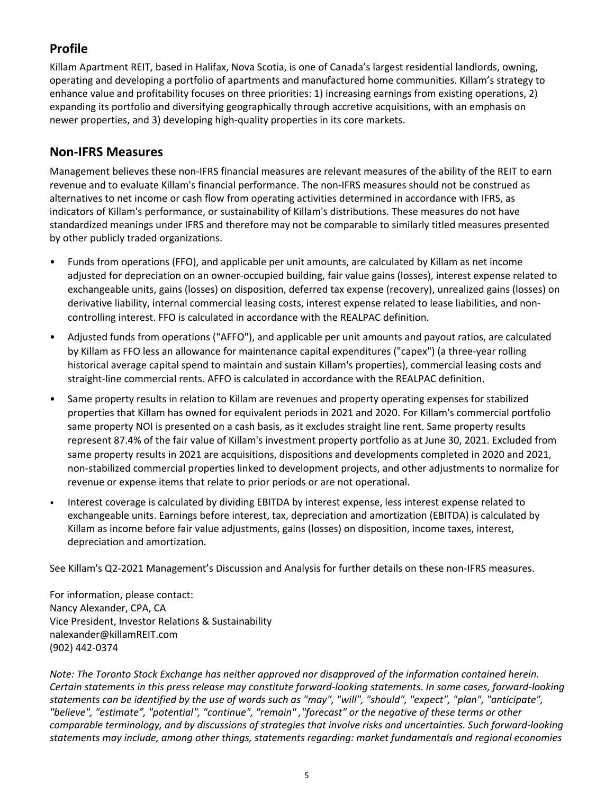# **Profile**

Killam Apartment REIT, based in Halifax, Nova Scotia, is one of Canada's largest residential landlords, owning, operating and developing a portfolio of apartments and manufactured home communities. Killam's strategy to enhance value and profitability focuses on three priorities: 1) increasing earnings from existing operations, 2) expanding its portfolio and diversifying geographically through accretive acquisitions, with an emphasis on newer properties, and 3) developing high-quality properties in its core markets.

## **Non-IFRS Measures**

Management believes these non-IFRS financial measures are relevant measures of the ability of the REIT to earn revenue and to evaluate Killam's financial performance. The non-IFRS measures should not be construed as alternatives to net income or cash flow from operating activities determined in accordance with IFRS, as indicators of Killam's performance, or sustainability of Killam's distributions. These measures do not have standardized meanings under IFRS and therefore may not be comparable to similarly titled measures presented by other publicly traded organizations.

- Funds from operations (FFO), and applicable per unit amounts, are calculated by Killam as net income adjusted for depreciation on an owner-occupied building, fair value gains (losses), interest expense related to exchangeable units, gains (losses) on disposition, deferred tax expense (recovery), unrealized gains (losses) on derivative liability, internal commercial leasing costs, interest expense related to lease liabilities, and noncontrolling interest. FFO is calculated in accordance with the REALPAC definition.
- Adjusted funds from operations ("AFFO"), and applicable per unit amounts and payout ratios, are calculated by Killam as FFO less an allowance for maintenance capital expenditures ("capex") (a three-year rolling historical average capital spend to maintain and sustain Killam's properties), commercial leasing costs and straight-line commercial rents. AFFO is calculated in accordance with the REALPAC definition.
- Same property results in relation to Killam are revenues and property operating expenses for stabilized properties that Killam has owned for equivalent periods in 2021 and 2020. For Killam's commercial portfolio same property NOI is presented on a cash basis, as it excludes straight line rent. Same property results represent 87.4% of the fair value of Killam's investment property portfolio as at June 30, 2021. Excluded from same property results in 2021 are acquisitions, dispositions and developments completed in 2020 and 2021, non-stabilized commercial properties linked to development projects, and other adjustments to normalize for revenue or expense items that relate to prior periods or are not operational.
- Interest coverage is calculated by dividing EBITDA by interest expense, less interest expense related to exchangeable units. Earnings before interest, tax, depreciation and amortization (EBITDA) is calculated by Killam as income before fair value adjustments, gains (losses) on disposition, income taxes, interest, depreciation and amortization.

See Killam's Q2-2021 Management's Discussion and Analysis for further details on these non-IFRS measures.

For information, please contact: Nancy Alexander, CPA, CA Vice President, Investor Relations & Sustainability nalexander@killamREIT.com (902) 442-0374 

*Note:* The Toronto Stock Exchange has neither approved nor disapproved of the information contained herein. *Certain statements in this press release may constitute forward-looking statements. In some cases, forward-looking* statements can be identified by the use of words such as "may", "will", "should", "expect", "plan", "anticipate", "believe", "estimate", "potential", "continue", "remain", "forecast" or the negative of these terms or other *comparable terminology, and by discussions of strategies that involve risks and uncertainties. Such forward-looking* statements may include, among other things, statements regarding: market fundamentals and regional economies